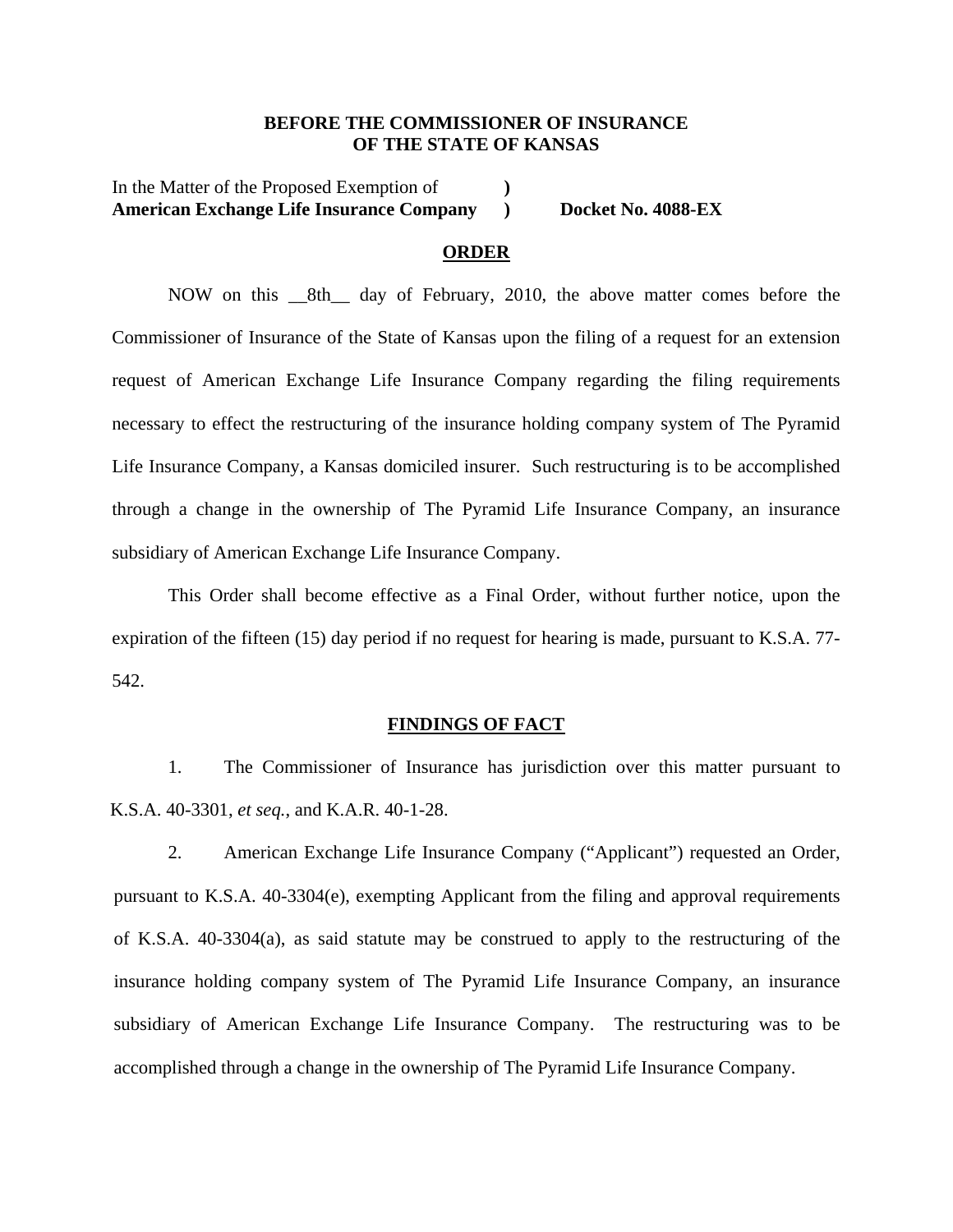### **BEFORE THE COMMISSIONER OF INSURANCE OF THE STATE OF KANSAS**

In the Matter of the Proposed Exemption of **) American Exchange Life Insurance Company Docket No. 4088-EX** 

#### **ORDER**

NOW on this \_\_8th\_\_ day of February, 2010, the above matter comes before the Commissioner of Insurance of the State of Kansas upon the filing of a request for an extension request of American Exchange Life Insurance Company regarding the filing requirements necessary to effect the restructuring of the insurance holding company system of The Pyramid Life Insurance Company, a Kansas domiciled insurer. Such restructuring is to be accomplished through a change in the ownership of The Pyramid Life Insurance Company, an insurance subsidiary of American Exchange Life Insurance Company.

This Order shall become effective as a Final Order, without further notice, upon the expiration of the fifteen (15) day period if no request for hearing is made, pursuant to K.S.A. 77- 542.

#### **FINDINGS OF FACT**

1. The Commissioner of Insurance has jurisdiction over this matter pursuant to K.S.A. 40-3301, *et seq.*, and K.A.R. 40-1-28.

2. American Exchange Life Insurance Company ("Applicant") requested an Order, pursuant to K.S.A. 40-3304(e), exempting Applicant from the filing and approval requirements of K.S.A. 40-3304(a), as said statute may be construed to apply to the restructuring of the insurance holding company system of The Pyramid Life Insurance Company, an insurance subsidiary of American Exchange Life Insurance Company. The restructuring was to be accomplished through a change in the ownership of The Pyramid Life Insurance Company.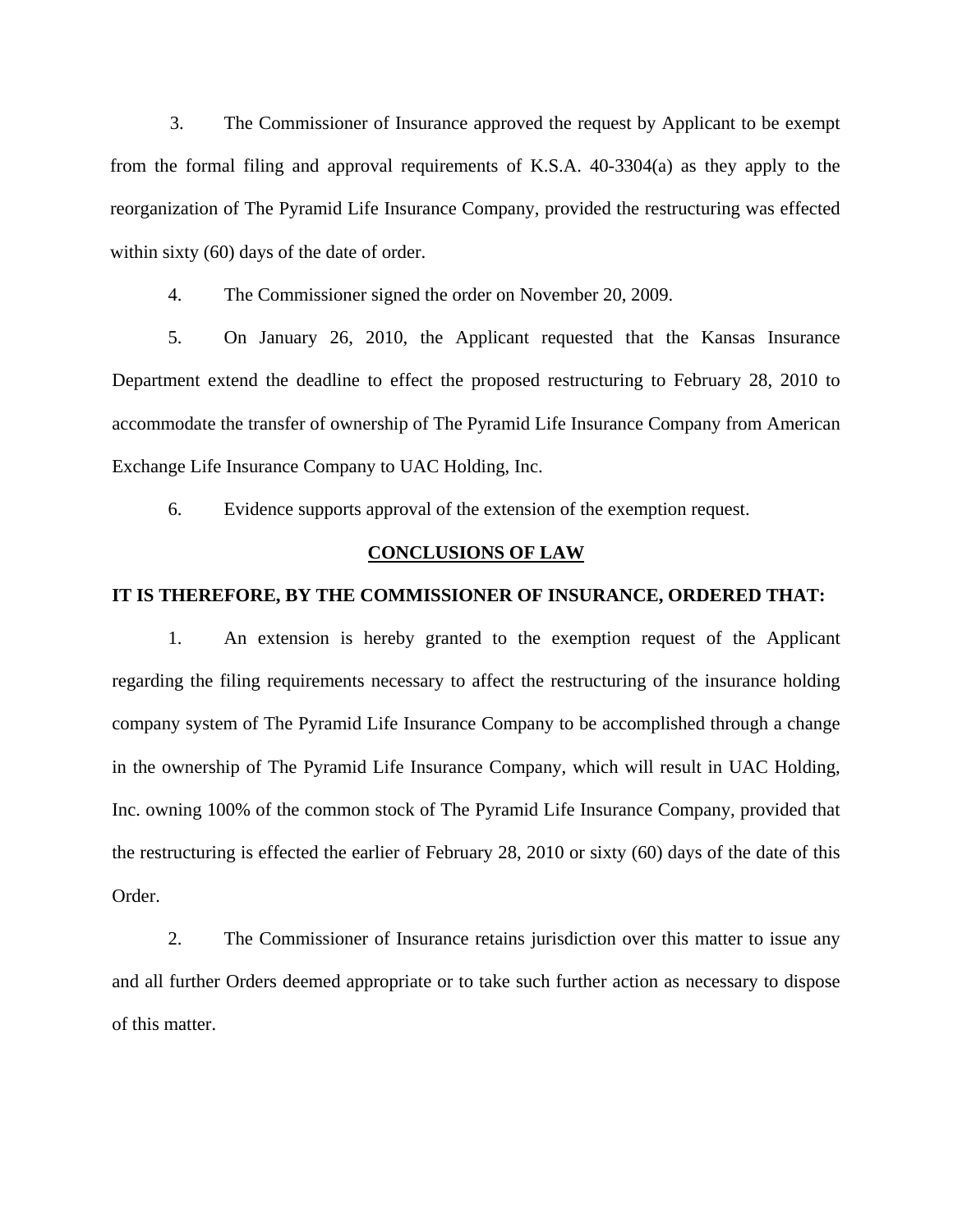3. The Commissioner of Insurance approved the request by Applicant to be exempt from the formal filing and approval requirements of K.S.A. 40-3304(a) as they apply to the reorganization of The Pyramid Life Insurance Company, provided the restructuring was effected within sixty (60) days of the date of order.

4. The Commissioner signed the order on November 20, 2009.

 5. On January 26, 2010, the Applicant requested that the Kansas Insurance Department extend the deadline to effect the proposed restructuring to February 28, 2010 to accommodate the transfer of ownership of The Pyramid Life Insurance Company from American Exchange Life Insurance Company to UAC Holding, Inc.

6. Evidence supports approval of the extension of the exemption request.

### **CONCLUSIONS OF LAW**

### **IT IS THEREFORE, BY THE COMMISSIONER OF INSURANCE, ORDERED THAT:**

1. An extension is hereby granted to the exemption request of the Applicant regarding the filing requirements necessary to affect the restructuring of the insurance holding company system of The Pyramid Life Insurance Company to be accomplished through a change in the ownership of The Pyramid Life Insurance Company, which will result in UAC Holding, Inc. owning 100% of the common stock of The Pyramid Life Insurance Company, provided that the restructuring is effected the earlier of February 28, 2010 or sixty (60) days of the date of this Order.

2. The Commissioner of Insurance retains jurisdiction over this matter to issue any and all further Orders deemed appropriate or to take such further action as necessary to dispose of this matter.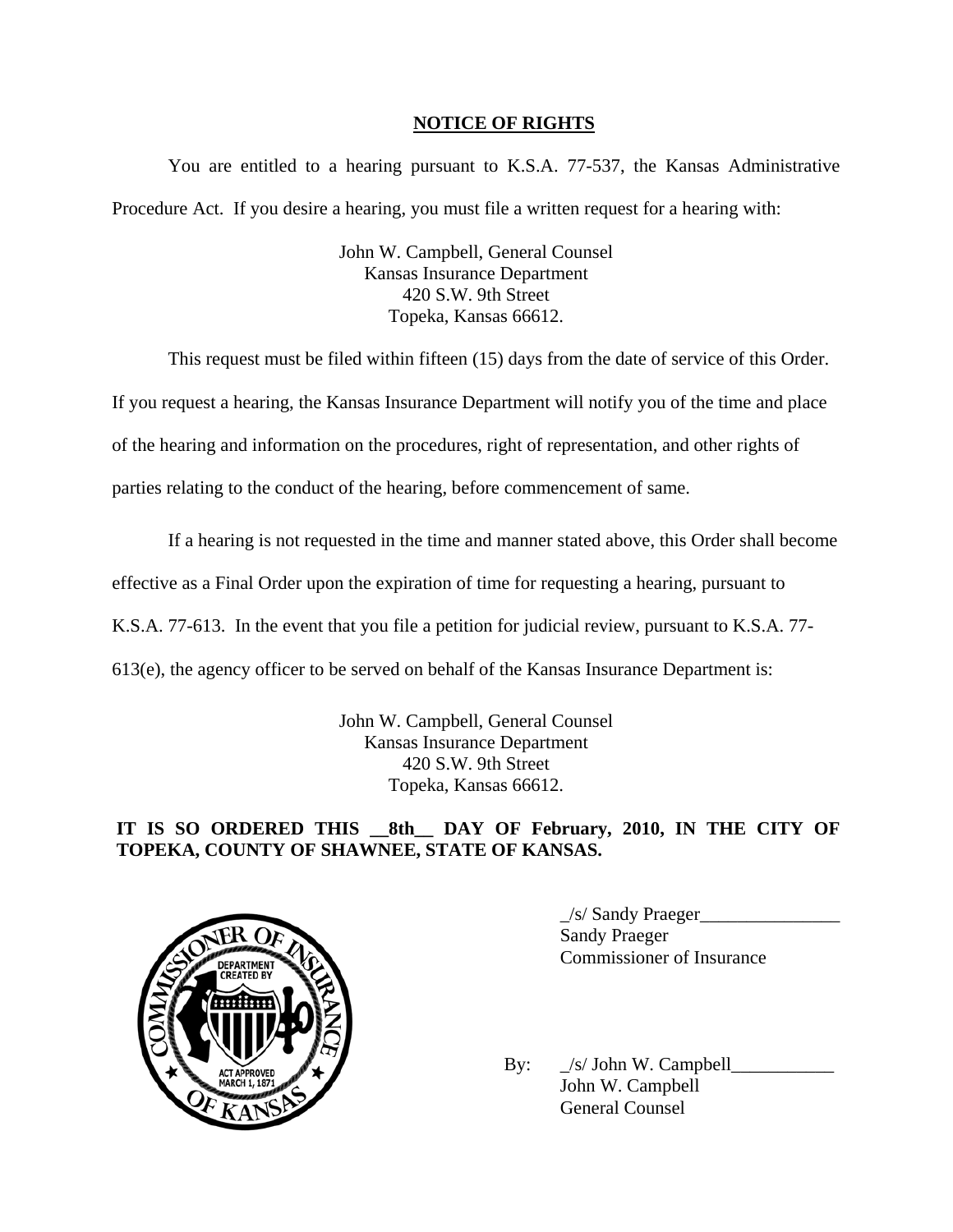## **NOTICE OF RIGHTS**

You are entitled to a hearing pursuant to K.S.A. 77-537, the Kansas Administrative Procedure Act. If you desire a hearing, you must file a written request for a hearing with:

> John W. Campbell, General Counsel Kansas Insurance Department 420 S.W. 9th Street Topeka, Kansas 66612.

This request must be filed within fifteen (15) days from the date of service of this Order.

If you request a hearing, the Kansas Insurance Department will notify you of the time and place

of the hearing and information on the procedures, right of representation, and other rights of

parties relating to the conduct of the hearing, before commencement of same.

If a hearing is not requested in the time and manner stated above, this Order shall become

effective as a Final Order upon the expiration of time for requesting a hearing, pursuant to

K.S.A. 77-613. In the event that you file a petition for judicial review, pursuant to K.S.A. 77-

613(e), the agency officer to be served on behalf of the Kansas Insurance Department is:

John W. Campbell, General Counsel Kansas Insurance Department 420 S.W. 9th Street Topeka, Kansas 66612.

# **IT IS SO ORDERED THIS \_\_8th\_\_ DAY OF February, 2010, IN THE CITY OF TOPEKA, COUNTY OF SHAWNEE, STATE OF KANSAS.**



\_/s/ Sandy Praeger\_\_\_\_\_\_\_\_\_\_\_\_\_\_\_ Sandy Praeger Commissioner of Insurance

By:  $\angle$ s/ John W. Campbell $\angle$  John W. Campbell General Counsel